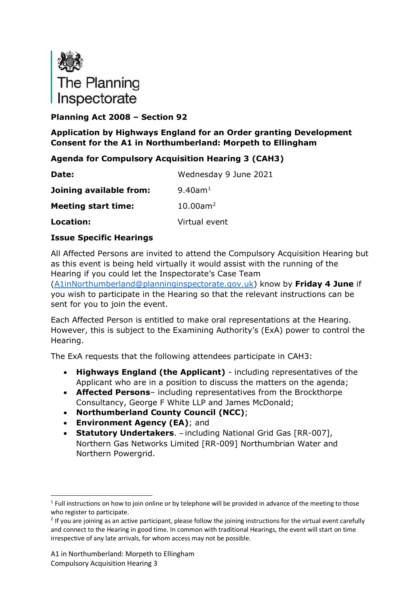

## **Planning Act 2008 – Section 92**

## **Application by Highways England for an Order granting Development Consent for the A1 in Northumberland: Morpeth to Ellingham**

## **Agenda for Compulsory Acquisition Hearing 3 (CAH3)**

| Date:                      | Wednesday 9 June 2021   |
|----------------------------|-------------------------|
| Joining available from:    | $9.40$ am <sup>1</sup>  |
| <b>Meeting start time:</b> | $10.00$ am <sup>2</sup> |
| Location:                  | Virtual event           |

## **Issue Specific Hearings**

All Affected Persons are invited to attend the Compulsory Acquisition Hearing but as this event is being held virtually it would assist with the running of the Hearing if you could let the Inspectorate's Case Team

[\(A1inNorthumberland@planninginspectorate.gov.uk\)](mailto:A1inNorthumberland@planninginspectorate.gov.uk) know by **Friday 4 June** if you wish to participate in the Hearing so that the relevant instructions can be sent for you to join the event.

Each Affected Person is entitled to make oral representations at the Hearing. However, this is subject to the Examining Authority's (ExA) power to control the Hearing.

The ExA requests that the following attendees participate in CAH3:

- **Highways England (the Applicant)** including representatives of the Applicant who are in a position to discuss the matters on the agenda;
- **Affected Persons** including representatives from the Brockthorpe Consultancy, George F White LLP and James McDonald;
- **Northumberland County Council (NCC)**;
- **Environment Agency (EA)**; and
- **Statutory Undertakers**. including National Grid Gas [RR-007], Northern Gas Networks Limited [RR-009] Northumbrian Water and Northern Powergrid.

<span id="page-0-0"></span><sup>&</sup>lt;sup>1</sup> Full instructions on how to join online or by telephone will be provided in advance of the meeting to those who register to participate.

<span id="page-0-1"></span> $2$  If you are joining as an active participant, please follow the joining instructions for the virtual event carefully and connect to the Hearing in good time. In common with traditional Hearings, the event will start on time irrespective of any late arrivals, for whom access may not be possible.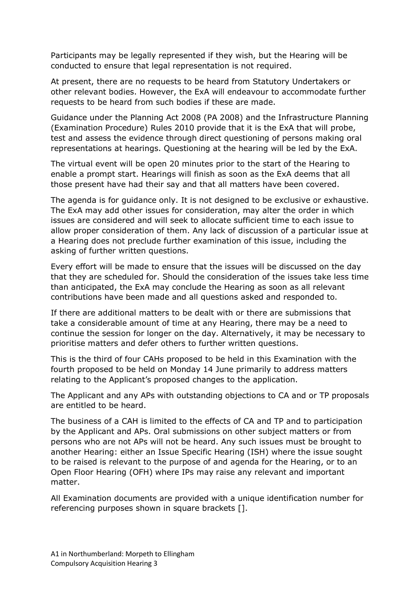Participants may be legally represented if they wish, but the Hearing will be conducted to ensure that legal representation is not required.

At present, there are no requests to be heard from Statutory Undertakers or other relevant bodies. However, the ExA will endeavour to accommodate further requests to be heard from such bodies if these are made.

Guidance under the Planning Act 2008 (PA 2008) and the Infrastructure Planning (Examination Procedure) Rules 2010 provide that it is the ExA that will probe, test and assess the evidence through direct questioning of persons making oral representations at hearings. Questioning at the hearing will be led by the ExA.

The virtual event will be open 20 minutes prior to the start of the Hearing to enable a prompt start. Hearings will finish as soon as the ExA deems that all those present have had their say and that all matters have been covered.

The agenda is for guidance only. It is not designed to be exclusive or exhaustive. The ExA may add other issues for consideration, may alter the order in which issues are considered and will seek to allocate sufficient time to each issue to allow proper consideration of them. Any lack of discussion of a particular issue at a Hearing does not preclude further examination of this issue, including the asking of further written questions.

Every effort will be made to ensure that the issues will be discussed on the day that they are scheduled for. Should the consideration of the issues take less time than anticipated, the ExA may conclude the Hearing as soon as all relevant contributions have been made and all questions asked and responded to.

If there are additional matters to be dealt with or there are submissions that take a considerable amount of time at any Hearing, there may be a need to continue the session for longer on the day. Alternatively, it may be necessary to prioritise matters and defer others to further written questions.

This is the third of four CAHs proposed to be held in this Examination with the fourth proposed to be held on Monday 14 June primarily to address matters relating to the Applicant's proposed changes to the application.

The Applicant and any APs with outstanding objections to CA and or TP proposals are entitled to be heard.

The business of a CAH is limited to the effects of CA and TP and to participation by the Applicant and APs. Oral submissions on other subject matters or from persons who are not APs will not be heard. Any such issues must be brought to another Hearing: either an Issue Specific Hearing (ISH) where the issue sought to be raised is relevant to the purpose of and agenda for the Hearing, or to an Open Floor Hearing (OFH) where IPs may raise any relevant and important matter.

All Examination documents are provided with a unique identification number for referencing purposes shown in square brackets [].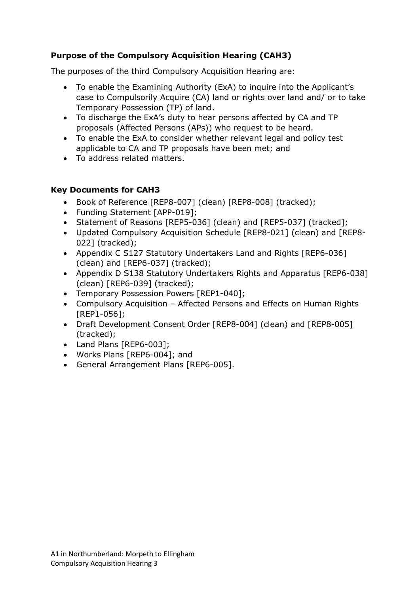## **Purpose of the Compulsory Acquisition Hearing (CAH3)**

The purposes of the third Compulsory Acquisition Hearing are:

- To enable the Examining Authority (ExA) to inquire into the Applicant's case to Compulsorily Acquire (CA) land or rights over land and/ or to take Temporary Possession (TP) of land.
- To discharge the ExA's duty to hear persons affected by CA and TP proposals (Affected Persons (APs)) who request to be heard.
- To enable the ExA to consider whether relevant legal and policy test applicable to CA and TP proposals have been met; and
- To address related matters.

## **Key Documents for CAH3**

- Book of Reference [REP8-007] (clean) [REP8-008] (tracked);
- Funding Statement [APP-019];
- Statement of Reasons [REP5-036] (clean) and [REP5-037] (tracked];
- Updated Compulsory Acquisition Schedule [REP8-021] (clean) and [REP8- 022] (tracked);
- Appendix C S127 Statutory Undertakers Land and Rights [REP6-036] (clean) and [REP6-037] (tracked);
- Appendix D S138 Statutory Undertakers Rights and Apparatus [REP6-038] (clean) [REP6-039] (tracked);
- Temporary Possession Powers [REP1-040];
- Compulsory Acquisition Affected Persons and Effects on Human Rights [REP1-056];
- Draft Development Consent Order [REP8-004] (clean) and [REP8-005] (tracked);
- Land Plans [REP6-003];
- Works Plans [REP6-004]; and
- General Arrangement Plans [REP6-005].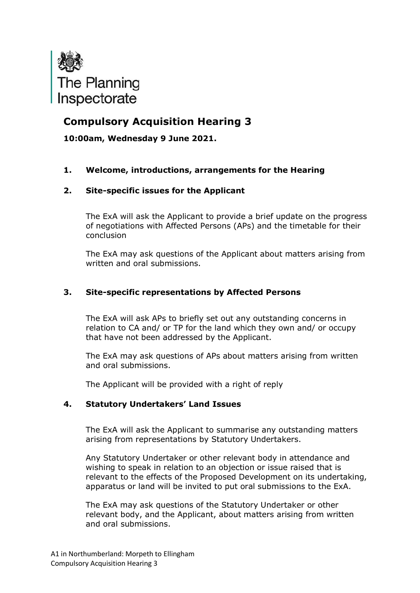

# **Compulsory Acquisition Hearing 3**

**10:00am, Wednesday 9 June 2021.**

### **1. Welcome, introductions, arrangements for the Hearing**

### **2. Site-specific issues for the Applicant**

The ExA will ask the Applicant to provide a brief update on the progress of negotiations with Affected Persons (APs) and the timetable for their conclusion

The ExA may ask questions of the Applicant about matters arising from written and oral submissions.

#### **3. Site-specific representations by Affected Persons**

The ExA will ask APs to briefly set out any outstanding concerns in relation to CA and/ or TP for the land which they own and/ or occupy that have not been addressed by the Applicant.

The ExA may ask questions of APs about matters arising from written and oral submissions.

The Applicant will be provided with a right of reply

### **4. Statutory Undertakers' Land Issues**

The ExA will ask the Applicant to summarise any outstanding matters arising from representations by Statutory Undertakers.

Any Statutory Undertaker or other relevant body in attendance and wishing to speak in relation to an objection or issue raised that is relevant to the effects of the Proposed Development on its undertaking, apparatus or land will be invited to put oral submissions to the ExA.

The ExA may ask questions of the Statutory Undertaker or other relevant body, and the Applicant, about matters arising from written and oral submissions.